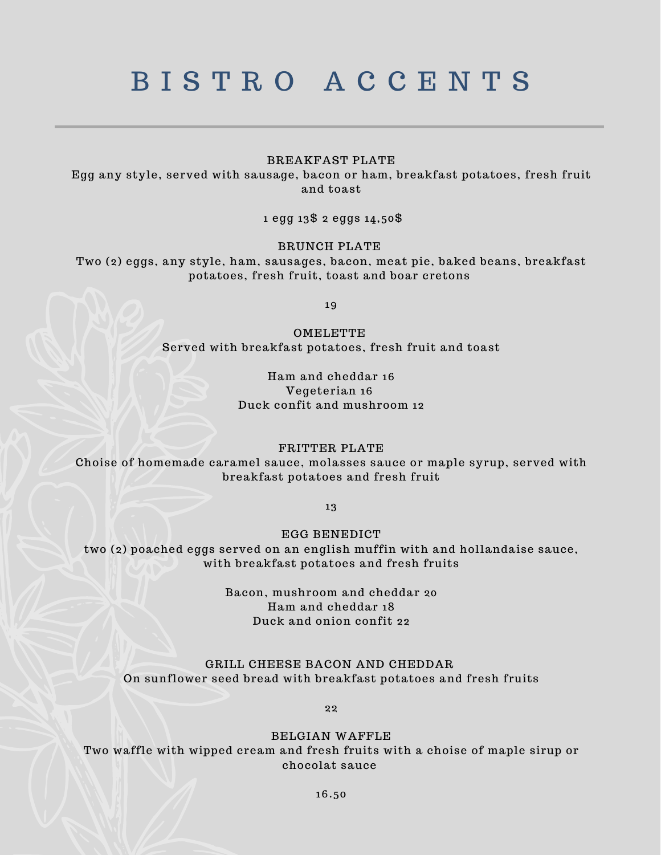# B I S T R O A C C E N T S

## BREAKFAST PLATE

Egg any style, served with sausage, bacon or ham, breakfast potatoes, fresh fruit and toast

1 egg 13\$ 2 eggs 14,50\$

#### BRUNCH PLATE

Two (2) eggs, any style, ham, sausages, bacon, meat pie, baked beans, breakfast potatoes, fresh fruit, toast and boar cretons

19

**OMELETTE** Served with breakfast potatoes, fresh fruit and toast

## Ham and cheddar 16 Vegeterian 16 Duck confit and mushroom 12

#### FRITTER PLATE

Choise of homemade caramel sauce, molasses sauce or maple syrup, served with breakfast potatoes and fresh fruit

13

EGG BENEDICT

two (2) poached eggs served on an english muffin with and hollandaise sauce, with breakfast potatoes and fresh fruits

> Bacon, mushroom and cheddar 20 Ham and cheddar 18 Duck and onion confit 22

## GRILL CHEESE BACON AND CHEDDAR On sunflower seed bread with breakfast potatoes and fresh fruits

22

### BELGIAN WAFFLE

Two waffle with wipped cream and fresh fruits with a choise of maple sirup or chocolat sauce

16.50